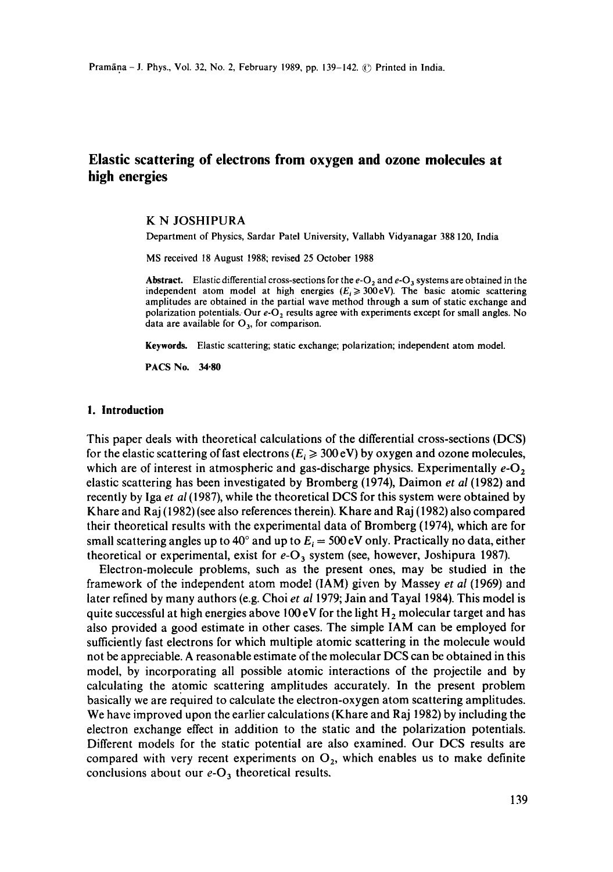# **Elastic scattering of electrons from oxygen and ozone molecules at high energies**

#### **K N** JOSHIPURA

Department of Physics, Sardar Patel University, Vallabh Vidyanagar 388 120, India

MS received 18 August 1988; revised 25 October 1988

Abstract. Elastic differential cross-sections for the  $e-O_2$  and  $e-O_3$  systems are obtained in the independent atom model at high energies ( $E_i \ge 300$ eV). The basic atomic scattering amplitudes are obtained in the partial wave method through a sum of static exchange and polarization potentials. Our  $e-O_2$  results agree with experiments except for small angles. No data are available for  $O_3$ , for comparison.

**Keywords.** Elastic scattering; static exchange; polarization; independent atom model.

PACS No. 34.80

#### **I. Introduction**

This paper deals with theoretical calculations of the differential cross-sections (DCS) for the elastic scattering of fast electrons  $(E_i \ge 300 \text{ eV})$  by oxygen and ozone molecules, which are of interest in atmospheric and gas-discharge physics. Experimentally  $e-O<sub>2</sub>$ elastic scattering has been investigated by Bromberg (1974), Daimon *et al* (1982) and recently by Iga *et al* (1987), while the theoretical DCS for this system were obtained by Khare and Raj (1982) (see also references therein). Khare and Raj (1982) also compared their theoretical results with the experimental data of Bromberg (1974), which are for small scattering angles up to 40° and up to  $E_i = 500 \text{ eV}$  only. Practically no data, either theoretical or experimental, exist for  $e-O_3$  system (see, however, Joshipura 1987).

Electron-molecule problems, such as the present ones, may be studied in the framework of the independent atom model (IAM) given by Massey *et al* (1969) and later refined by many authors (e.g. Choi *et al* 1979; Jain and Tayai 1984). This model is quite successful at high energies above 100 eV for the light  $H_2$  molecular target and has also provided a good estimate in other cases. The simple IAM can be employed for sufficiently fast electrons for which multiple atomic scattering in the molecule would not be appreciable. A reasonable estimate of the molecular DCS can be obtained in this model, by incorporating all possible atomic interactions of the projectile and by calculating the atomic scattering amplitudes accurately. In the present problem basically we are required to calculate the electron-oxygen atom scattering amplitudes. We have improved upon the earlier calculations (Khare and Raj 1982) by including the electron exchange effect in addition to the static and the polarization potentials. Different models for the static potential are also examined. Our DCS results are compared with very recent experiments on  $O_2$ , which enables us to make definite conclusions about our  $e-O_3$  theoretical results.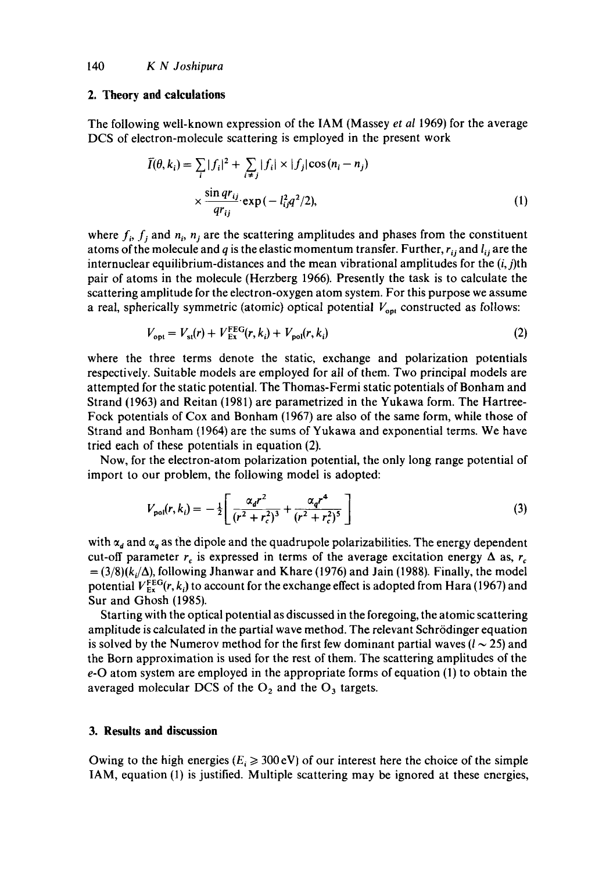#### **2. Theory and calculations**

The following well-known expression of the IAM (Massey *et al* 1969) for the average DCS of electron-molecule scattering is employed in the present work

$$
\overline{I}(\theta, k_i) = \sum_{i} |f_i|^2 + \sum_{i \neq j} |f_i| \times |f_j| \cos(n_i - n_j)
$$
  
 
$$
\times \frac{\sin qr_{ij}}{qr_{ij}} \exp(-l_{ij}^2 q^2/2), \tag{1}
$$

where  $f_i$ ,  $f_j$  and  $n_i$ ,  $n_j$  are the scattering amplitudes and phases from the constituent atoms of the molecule and q is the elastic momentum transfer. Further,  $r_{ij}$  and  $l_{ij}$  are the internuclear equilibrium-distances and the mean vibrational amplitudes for the  $(i, j)$ th pair of atoms in the molecule (Herzberg 1966). Presently the task is to calculate the scattering amplitude for the electron-oxygen atom system. For this purpose we assume a real, spherically symmetric (atomic) optical potential  $V_{opt}$  constructed as follows:

$$
V_{\text{opt}} = V_{\text{st}}(r) + V_{\text{Ex}}^{\text{FEG}}(r, k_i) + V_{\text{pol}}(r, k_i)
$$
\n
$$
(2)
$$

where the three terms denote the static, exchange and polarization potentials respectively. Suitable models are employed for all of them. Two principal models are attempted for the static potential. The Thomas-Fermi static potentials of Bonham and Strand (1963) and Reitan (1981) are parametrized in the Yukawa form. The Hartree-Fock potentials of Cox and Bonham (1967) are also of the same form, while those of Strand and Bonham (1964) are the sums of Yukawa and exponential terms. We have tried each of these potentials in equation (2).

Now, for the electron-atom polarization potential, the only long range potential of import to our problem, the following model is adopted:

$$
V_{\text{pol}}(r, k_i) = -\frac{1}{2} \left[ \frac{\alpha_d r^2}{(r^2 + r_c^2)^3} + \frac{\alpha_d r^4}{(r^2 + r_c^2)^5} \right] \tag{3}
$$

with  $\alpha_d$  and  $\alpha_q$  as the dipole and the quadrupole polarizabilities. The energy dependent cut-off parameter  $r_c$  is expressed in terms of the average excitation energy  $\Delta$  as,  $r_c$  $=(3/8)(k_i/\Delta)$ , following Jhanwar and Khare (1976) and Jain (1988). Finally, the model potential  $V_{Ex}^{FEG}(r, k_i)$  to account for the exchange effect is adopted from Hara (1967) and Sur and Ghosh (1985).

Starting with the optical potential as discussed in the foregoing, the atomic scattering amplitude is calculated in the partial wave method. The relevant Schrödinger equation is solved by the Numerov method for the first few dominant partial waves ( $l \sim 25$ ) and the Born approximation is used for the rest of them. The scattering amplitudes of the e-O atom system are employed in the appropriate forms of equation (1) to obtain the averaged molecular DCS of the  $O_2$  and the  $O_3$  targets.

# **3. Results and discussion**

Owing to the high energies ( $E_i \geq 300 \text{ eV}$ ) of our interest here the choice of the simple IAM, equation (1) is justified. Multiple scattering may be ignored at these energies,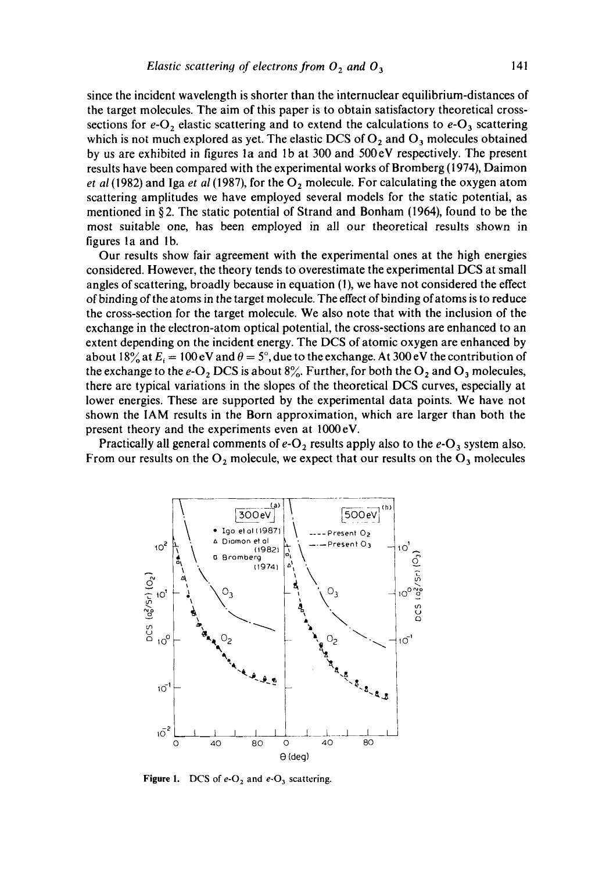since the incident wavelength is shorter than the internuclear equilibrium-distances of the target molecules. The aim of this paper is to obtain satisfactory theoretical crosssections for  $e-O_2$  elastic scattering and to extend the calculations to  $e-O_3$  scattering which is not much explored as yet. The elastic DCS of  $O_2$  and  $O_3$  molecules obtained by us are exhibited in figures la and lb at 300 and 500eV respectively. The present results have been compared with the experimental works of Bromberg (1974), Daimon *et al* (1982) and Iga *et al* (1987), for the  $O_2$  molecule. For calculating the oxygen atom scattering amplitudes we have employed several models for the static potential, as mentioned in §2. The static potential of Strand and Bonham (1964), found to be the most suitable one, has been employed in all our theoretical results shown in figures la and lb.

Our results show fair agreement with the experimental ones at the high energies considered. However, the theory tends to overestimate the experimental DCS at small angles of scattering, broadly because in equation (1), we have not considered the effect of binding of the atoms in the target molecule. The effect of binding of atoms is to reduce the cross-section for the target molecule. We also note that with the inclusion of the exchange in the electron-atom optical potential, the cross-sections are enhanced to an extent depending on the incident energy. The DCS of atomic oxygen are enhanced by about 18% at  $E_i = 100 \text{ eV}$  and  $\theta = 5^\circ$ , due to the exchange. At 300 eV the contribution of the exchange to the  $e-O_2$  DCS is about  $8\%$ . Further, for both the  $O_2$  and  $O_3$  molecules, there are typical variations in the slopes of the theoretical DCS curves, especially at lower energies. These are supported by the experimental data points. We have not shown the IAM results in the Born approximation, which are larger than both the present theory and the experiments even at 1000eV.

Practically all general comments of  $e-O_2$  results apply also to the  $e-O_3$  system also. From our results on the  $O_2$  molecule, we expect that our results on the  $O_3$  molecules



**Figure 1.** DCS of  $e$ - $O_2$  and  $e$ - $O_3$  scattering.